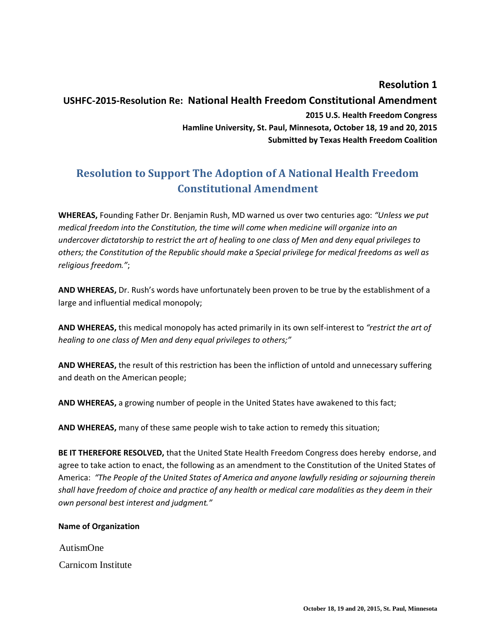**Resolution 1**

## **USHFC-2015-Resolution Re: National Health Freedom Constitutional Amendment 2015 U.S. Health Freedom Congress Hamline University, St. Paul, Minnesota, October 18, 19 and 20, 2015 Submitted by Texas Health Freedom Coalition**

## **Resolution to Support The Adoption of A National Health Freedom Constitutional Amendment**

**WHEREAS,** Founding Father Dr. Benjamin Rush, MD warned us over two centuries ago: *"Unless we put medical freedom into the Constitution, the time will come when medicine will organize into an undercover dictatorship to restrict the art of healing to one class of Men and deny equal privileges to others; the Constitution of the Republic should make a Special privilege for medical freedoms as well as religious freedom."*;

**AND WHEREAS,** Dr. Rush's words have unfortunately been proven to be true by the establishment of a large and influential medical monopoly;

**AND WHEREAS,** this medical monopoly has acted primarily in its own self-interest to *"restrict the art of healing to one class of Men and deny equal privileges to others;"*

**AND WHEREAS,** the result of this restriction has been the infliction of untold and unnecessary suffering and death on the American people;

**AND WHEREAS,** a growing number of people in the United States have awakened to this fact;

**AND WHEREAS,** many of these same people wish to take action to remedy this situation;

**BE IT THEREFORE RESOLVED,** that the United State Health Freedom Congress does hereby endorse, and agree to take action to enact, the following as an amendment to the Constitution of the United States of America: *"The People of the United States of America and anyone lawfully residing or sojourning therein shall have freedom of choice and practice of any health or medical care modalities as they deem in their own personal best interest and judgment."*

## **Name of Organization**

AutismOne

Carnicom Institute